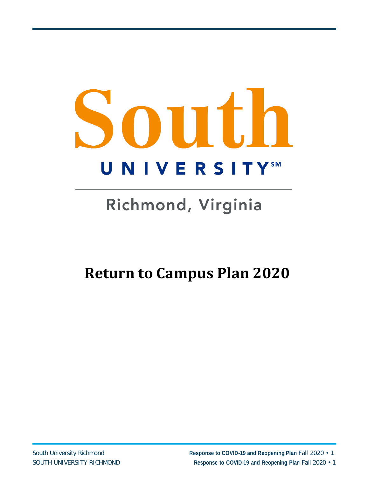# South **UNIVERSITYSM**

# Richmond, Virginia

# **Return to Campus Plan 2020**

South University Richmond **Response to COVID-19 and Reopening Plan** Fall 2020 • 1 SOUTH UNIVERSITY RICHMOND **Response to COVID-19 and Reopening Plan** Fall 2020 • 1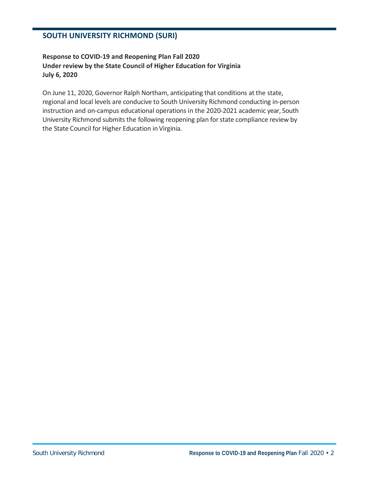#### **SOUTH UNIVERSITY RICHMOND (SURI)**

#### **Response to COVID-19 and Reopening Plan Fall 2020 Under review by the State Council of Higher Education for Virginia July 6, 2020**

On June 11, 2020, Governor Ralph Northam, anticipating that conditions at the state, regional and local levels are conducive to South University Richmond conducting in-person instruction and on-campus educational operations in the 2020-2021 academic year, South University Richmond submits the following reopening plan for state compliance review by the State Council for Higher Education in Virginia.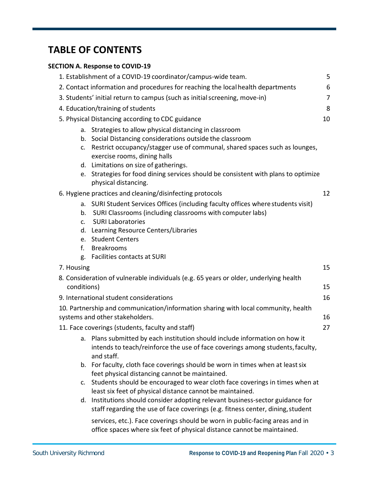# **TABLE OF CONTENTS**

#### **SECTION A. Response to COVID-19**

| 1. Establishment of a COVID-19 coordinator/campus-wide team.                                                                                                                                                                                                                                                                                                                                       | 5  |  |  |
|----------------------------------------------------------------------------------------------------------------------------------------------------------------------------------------------------------------------------------------------------------------------------------------------------------------------------------------------------------------------------------------------------|----|--|--|
| 2. Contact information and procedures for reaching the local health departments                                                                                                                                                                                                                                                                                                                    |    |  |  |
| 3. Students' initial return to campus (such as initial screening, move-in)                                                                                                                                                                                                                                                                                                                         |    |  |  |
| 4. Education/training of students                                                                                                                                                                                                                                                                                                                                                                  |    |  |  |
| 5. Physical Distancing according to CDC guidance                                                                                                                                                                                                                                                                                                                                                   |    |  |  |
| a. Strategies to allow physical distancing in classroom<br>b. Social Distancing considerations outside the classroom<br>Restrict occupancy/stagger use of communal, shared spaces such as lounges,<br>C.<br>exercise rooms, dining halls<br>d. Limitations on size of gatherings.<br>Strategies for food dining services should be consistent with plans to optimize<br>e.<br>physical distancing. | 10 |  |  |
| 6. Hygiene practices and cleaning/disinfecting protocols<br>a. SURI Student Services Offices (including faculty offices where students visit)<br>SURI Classrooms (including classrooms with computer labs)<br>b.<br><b>SURI Laboratories</b><br>c.                                                                                                                                                 | 12 |  |  |
| d. Learning Resource Centers/Libraries<br>e. Student Centers<br><b>Breakrooms</b><br>f.<br><b>Facilities contacts at SURI</b><br>g.                                                                                                                                                                                                                                                                |    |  |  |
| 7. Housing                                                                                                                                                                                                                                                                                                                                                                                         | 15 |  |  |
| 8. Consideration of vulnerable individuals (e.g. 65 years or older, underlying health<br>conditions)                                                                                                                                                                                                                                                                                               | 15 |  |  |
| 9. International student considerations                                                                                                                                                                                                                                                                                                                                                            | 16 |  |  |
| 10. Partnership and communication/information sharing with local community, health<br>systems and other stakeholders.                                                                                                                                                                                                                                                                              | 16 |  |  |
| 11. Face coverings (students, faculty and staff)                                                                                                                                                                                                                                                                                                                                                   | 27 |  |  |
| a. Plans submitted by each institution should include information on how it<br>intends to teach/reinforce the use of face coverings among students, faculty,<br>and staff.                                                                                                                                                                                                                         |    |  |  |
| For faculty, cloth face coverings should be worn in times when at least six<br>b.<br>feet physical distancing cannot be maintained.                                                                                                                                                                                                                                                                |    |  |  |
| Students should be encouraged to wear cloth face coverings in times when at<br>c.<br>least six feet of physical distance cannot be maintained.                                                                                                                                                                                                                                                     |    |  |  |
| d. Institutions should consider adopting relevant business-sector guidance for<br>staff regarding the use of face coverings (e.g. fitness center, dining, student                                                                                                                                                                                                                                  |    |  |  |
| services, etc.). Face coverings should be worn in public-facing areas and in<br>office spaces where six feet of physical distance cannot be maintained.                                                                                                                                                                                                                                            |    |  |  |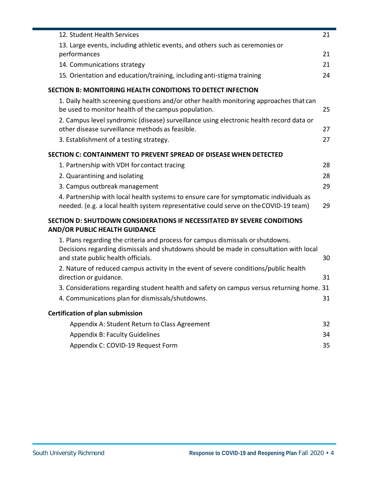| 12. Student Health Services                                                                                                                                                                                     | 21 |
|-----------------------------------------------------------------------------------------------------------------------------------------------------------------------------------------------------------------|----|
| 13. Large events, including athletic events, and others such as ceremonies or<br>performances                                                                                                                   | 21 |
| 14. Communications strategy                                                                                                                                                                                     | 21 |
| 15. Orientation and education/training, including anti-stigma training                                                                                                                                          | 24 |
| <b>SECTION B: MONITORING HEALTH CONDITIONS TO DETECT INFECTION</b>                                                                                                                                              |    |
| 1. Daily health screening questions and/or other health monitoring approaches that can<br>be used to monitor health of the campus population.                                                                   | 25 |
| 2. Campus level syndromic (disease) surveillance using electronic health record data or<br>other disease surveillance methods as feasible.                                                                      | 27 |
| 3. Establishment of a testing strategy.                                                                                                                                                                         | 27 |
| SECTION C: CONTAINMENT TO PREVENT SPREAD OF DISEASE WHEN DETECTED                                                                                                                                               |    |
| 1. Partnership with VDH for contact tracing                                                                                                                                                                     | 28 |
| 2. Quarantining and isolating                                                                                                                                                                                   | 28 |
| 3. Campus outbreak management                                                                                                                                                                                   | 29 |
| 4. Partnership with local health systems to ensure care for symptomatic individuals as<br>needed. (e.g. a local health system representative could serve on the COVID-19 team)                                  | 29 |
| <b>SECTION D: SHUTDOWN CONSIDERATIONS IF NECESSITATED BY SEVERE CONDITIONS</b><br><b>AND/OR PUBLIC HEALTH GUIDANCE</b>                                                                                          |    |
| 1. Plans regarding the criteria and process for campus dismissals or shutdowns.<br>Decisions regarding dismissals and shutdowns should be made in consultation with local<br>and state public health officials. | 30 |
| 2. Nature of reduced campus activity in the event of severe conditions/public health<br>direction or guidance.                                                                                                  | 31 |
| 3. Considerations regarding student health and safety on campus versus returning home. 31                                                                                                                       |    |
| 4. Communications plan for dismissals/shutdowns.                                                                                                                                                                | 31 |
| <b>Certification of plan submission</b>                                                                                                                                                                         |    |
| Appendix A: Student Return to Class Agreement                                                                                                                                                                   | 32 |
| <b>Appendix B: Faculty Guidelines</b>                                                                                                                                                                           | 34 |
| Appendix C: COVID-19 Request Form                                                                                                                                                                               | 35 |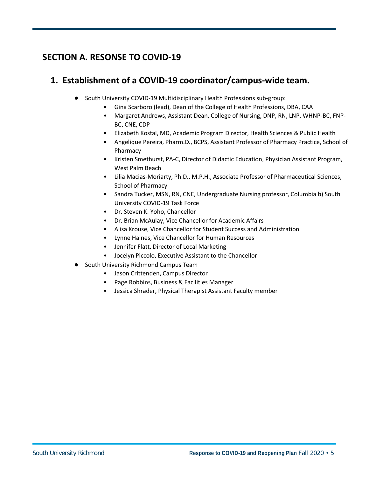# **SECTION A. RESONSE TO COVID-19**

# **1. Establishment of a COVID-19 coordinator/campus-wide team.**

- South University COVID-19 Multidisciplinary Health Professions sub-group:
	- Gina Scarboro (lead), Dean of the College of Health Professions, DBA, CAA
	- Margaret Andrews, Assistant Dean, College of Nursing, DNP, RN, LNP, WHNP-BC, FNP-BC, CNE, CDP
	- Elizabeth Kostal, MD, Academic Program Director, Health Sciences & Public Health
	- Angelique Pereira, Pharm.D., BCPS, Assistant Professor of Pharmacy Practice, School of Pharmacy
	- Kristen Smethurst, PA-C, Director of Didactic Education, Physician Assistant Program, West Palm Beach
	- Lilia Macias-Moriarty, Ph.D., M.P.H., Associate Professor of Pharmaceutical Sciences, School of Pharmacy
	- Sandra Tucker, MSN, RN, CNE, Undergraduate Nursing professor, Columbia b) South University COVID-19 Task Force
	- Dr. Steven K. Yoho, Chancellor
	- Dr. Brian McAulay, Vice Chancellor for Academic Affairs
	- Alisa Krouse, Vice Chancellor for Student Success and Administration
	- Lynne Haines, Vice Chancellor for Human Resources
	- Jennifer Flatt, Director of Local Marketing
	- Jocelyn Piccolo, Executive Assistant to the Chancellor
- South University Richmond Campus Team
	- Jason Crittenden, Campus Director
	- Page Robbins, Business & Facilities Manager
	- Jessica Shrader, Physical Therapist Assistant Faculty member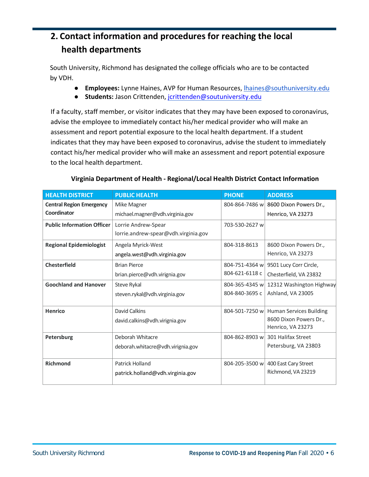# **2. Contact information and procedures for reaching the local health departments**

South University, Richmond has designated the college officials who are to be contacted by VDH.

- **Employees:** Lynne Haines, AVP for Human Resources, lhaines@southuniversity.edu
- **Students:** Jason Crittenden, jcrittenden@soutuniversity.edu

If a faculty, staff member, or visitor indicates that they may have been exposed to coronavirus, advise the employee to immediately contact his/her medical provider who will make an assessment and report potential exposure to the local health department. If a student indicates that they may have been exposed to coronavirus, advise the student to immediately contact his/her medical provider who will make an assessment and report potential exposure to the local health department.

| <b>HEALTH DISTRICT</b>            | <b>PUBLIC HEALTH</b>                 | <b>PHONE</b>   | <b>ADDRESS</b>                 |
|-----------------------------------|--------------------------------------|----------------|--------------------------------|
| <b>Central Region Emergency</b>   | Mike Magner                          | 804-864-7486 w | 8600 Dixon Powers Dr.,         |
| Coordinator                       | michael.magner@vdh.virginia.gov      |                | Henrico, VA 23273              |
| <b>Public Information Officer</b> | Lorrie Andrew-Spear                  | 703-530-2627 w |                                |
|                                   | lorrie.andrew-spear@vdh.virginia.gov |                |                                |
| <b>Regional Epidemiologist</b>    | Angela Myrick-West                   | 804-318-8613   | 8600 Dixon Powers Dr.,         |
|                                   | angela.west@vdh.virginia.gov         |                | Henrico, VA 23273              |
| <b>Chesterfield</b>               | <b>Brian Pierce</b>                  | 804-751-4364 w | 9501 Lucy Corr Circle,         |
|                                   | brian.pierce@vdh.virignia.gov        | 804-621-6118 c | Chesterfield, VA 23832         |
| <b>Goochland and Hanover</b>      | Steve Rykal                          | 804-365-4345 w | 12312 Washington Highway       |
|                                   | steven.rykal@vdh.virginia.gov        | 804-840-3695 c | Ashland, VA 23005              |
| Henrico                           | David Calkins                        | 804-501-7250 w | <b>Human Services Building</b> |
|                                   | david.calkins@vdh.virignia.gov       |                | 8600 Dixon Powers Dr.,         |
|                                   |                                      |                | Henrico, VA 23273              |
| Petersburg                        | Deborah Whitacre                     | 804-862-8903 w | 301 Halifax Street             |
|                                   | deborah.whitacre@vdh.virignia.gov    |                | Petersburg, VA 23803           |
|                                   |                                      |                |                                |
| <b>Richmond</b>                   | Patrick Holland                      | 804-205-3500 w | 400 East Cary Street           |
|                                   | patrick.holland@vdh.virginia.gov     |                | Richmond, VA 23219             |
|                                   |                                      |                |                                |

#### **Virginia Department of Health - Regional/Local Health District Contact Information**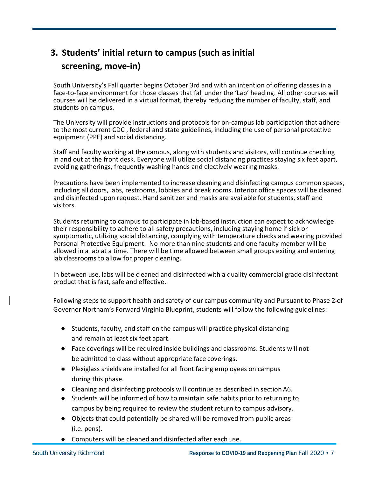# **3. Students' initial return to campus (such as initial screening, move-in)**

South University's Fall quarter begins October 3rd and with an intention of offering classes in a face-to-face environment for those classes that fall under the 'Lab' heading. All other courses will courses will be delivered in a virtual format, thereby reducing the number of faculty, staff, and students on campus.

The University will provide instructions and protocols for on-campus lab participation that adhere to the most current CDC , federal and state guidelines, including the use of personal protective equipment (PPE) and social distancing.

Staff and faculty working at the campus, along with students and visitors, will continue checking in and out at the front desk. Everyone will utilize social distancing practices staying six feet apart, avoiding gatherings, frequently washing hands and electively wearing masks.

Precautions have been implemented to increase cleaning and disinfecting campus common spaces, including all doors, labs, restrooms, lobbies and break rooms. Interior office spaces will be cleaned and disinfected upon request. Hand sanitizer and masks are available for students, staff and visitors.

Students returning to campus to participate in lab-based instruction can expect to acknowledge their responsibility to adhere to all safety precautions, including staying home if sick or symptomatic, utilizing social distancing, complying with temperature checks and wearing provided Personal Protective Equipment. No more than nine students and one faculty member will be allowed in a lab at a time. There will be time allowed between small groups exiting and entering lab classrooms to allow for proper cleaning.

In between use, labs will be cleaned and disinfected with a quality commercial grade disinfectant product that is fast, safe and effective.

Following steps to support health and safety of our campus community and Pursuant to Phase 2 of Governor Northam's Forward Virginia Blueprint, students will follow the following guidelines:

- Students, faculty, and staff on the campus will practice physical distancing and remain at least six feet apart.
- Face coverings will be required inside buildings and classrooms. Students will not be admitted to class without appropriate face coverings.
- Plexiglass shields are installed for all front facing employees on campus during this phase.
- Cleaning and disinfecting protocols will continue as described in section A6.
- Students will be informed of how to maintain safe habits prior to returning to campus by being required to review the student return to campus advisory.
- Objects that could potentially be shared will be removed from public areas (i.e. pens).
- Computers will be cleaned and disinfected after each use.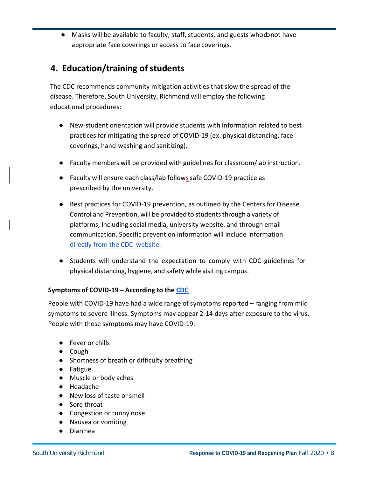● Masks will be available to faculty, staff, students, and guests whodonot have appropriate face coverings or access to face coverings.

# **4. Education/training of students**

The CDC recommends community mitigation activities that slow the spread of the disease. Therefore, South University, Richmond will employ the following educational procedures:

- New-student orientation will provide students with information related to best practices for mitigating the spread of COVID-19 (ex. physical distancing, face coverings, hand-washing and sanitizing).
- Faculty members will be provided with guidelines for classroom/lab instruction.
- Faculty will ensure each class/lab follows safe COVID-19 practice as prescribed by the university.
- Best practices for COVID-19 prevention, as outlined by the Centers for Disease Control and Prevention, will be provided to students through a variety of platforms, including social media, university website, and through email communication. Specific prevention information will include information directly from the CDC website.
- Students will understand the expectation to comply with CDC guidelines for physical distancing, hygiene, and safety while visiting campus.

#### **Symptoms of COVID-19 – According to the CDC**

People with COVID-19 have had a wide range of symptoms reported – ranging from mild symptoms to severe illness. Symptoms may appear 2-14 days after exposure to the virus. People with these symptoms may have COVID-19:

- Fever or chills
- Cough
- Shortness of breath or difficulty breathing
- Fatigue
- Muscle or body aches
- Headache
- New loss of taste or smell
- Sore throat
- Congestion or runny nose
- Nausea or vomiting
- Diarrhea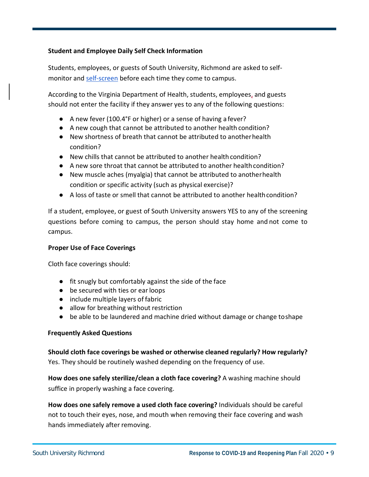#### **Student and Employee Daily Self Check Information**

Students, employees, or guests of South University, Richmond are asked to selfmonitor and self-screen before each time they come to campus.

According to the Virginia Department of Health, students, employees, and guests should not enter the facility if they answer yes to any of the following questions:

- A new fever (100.4°F or higher) or a sense of having a fever?
- A new cough that cannot be attributed to another health condition?
- New shortness of breath that cannot be attributed to anotherhealth condition?
- New chills that cannot be attributed to another health condition?
- A new sore throat that cannot be attributed to another health condition?
- New muscle aches (myalgia) that cannot be attributed to anotherhealth condition or specific activity (such as physical exercise)?
- A loss of taste or smell that cannot be attributed to another health condition?

If a student, employee, or guest of South University answers YES to any of the screening questions before coming to campus, the person should stay home and not come to campus.

#### **Proper Use of Face Coverings**

Cloth face coverings should:

- fit snugly but comfortably against the side of the face
- be secured with ties or ear loops
- include multiple layers of fabric
- allow for breathing without restriction
- be able to be laundered and machine dried without damage or change to shape

#### **Frequently Asked Questions**

#### **Should cloth face coverings be washed or otherwise cleaned regularly? How regularly?**

Yes. They should be routinely washed depending on the frequency of use.

**How does one safely sterilize/clean a cloth face covering?** A washing machine should suffice in properly washing a face covering.

**How does one safely remove a used cloth face covering?** Individuals should be careful not to touch their eyes, nose, and mouth when removing their face covering and wash hands immediately after removing.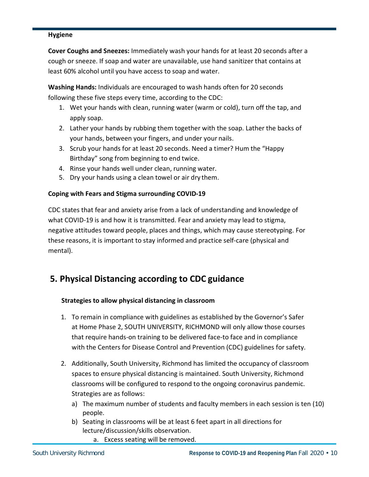#### **Hygiene**

**Cover Coughs and Sneezes:** Immediately wash your hands for at least 20 seconds after a cough or sneeze. If soap and water are unavailable, use hand sanitizer that contains at least 60% alcohol until you have access to soap and water.

**Washing Hands:** Individuals are encouraged to wash hands often for 20 seconds following these five steps every time, according to the CDC:

- 1. Wet your hands with clean, running water (warm or cold), turn off the tap, and apply soap.
- 2. Lather your hands by rubbing them together with the soap. Lather the backs of your hands, between your fingers, and under your nails.
- 3. Scrub your hands for at least 20 seconds. Need a timer? Hum the "Happy Birthday" song from beginning to end twice.
- 4. Rinse your hands well under clean, running water.
- 5. Dry your hands using a clean towel or air dry them.

#### **Coping with Fears and Stigma surrounding COVID-19**

CDC states that fear and anxiety arise from a lack of understanding and knowledge of what COVID-19 is and how it is transmitted. Fear and anxiety may lead to stigma, negative attitudes toward people, places and things, which may cause stereotyping. For these reasons, it is important to stay informed and practice self-care (physical and mental).

# **5. Physical Distancing according to CDC guidance**

#### **Strategies to allow physical distancing in classroom**

- 1. To remain in compliance with guidelines as established by the Governor's Safer at Home Phase 2, SOUTH UNIVERSITY, RICHMOND will only allow those courses that require hands-on training to be delivered face-to face and in compliance with the Centers for Disease Control and Prevention (CDC) guidelines for safety.
- 2. Additionally, South University, Richmond has limited the occupancy of classroom spaces to ensure physical distancing is maintained. South University, Richmond classrooms will be configured to respond to the ongoing coronavirus pandemic. Strategies are as follows:
	- a) The maximum number of students and faculty members in each session is ten (10) people.
	- b) Seating in classrooms will be at least 6 feet apart in all directions for lecture/discussion/skills observation.
		- a. Excess seating will be removed.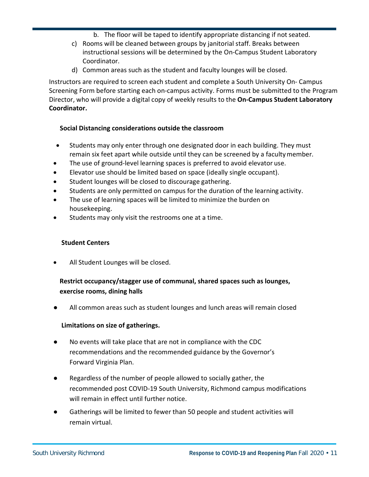- b. The floor will be taped to identify appropriate distancing if not seated.
- c) Rooms will be cleaned between groups by janitorial staff. Breaks between instructional sessions will be determined by the On-Campus Student Laboratory Coordinator.
- d) Common areas such as the student and faculty lounges will be closed.

Instructors are required to screen each student and complete a South University On- Campus Screening Form before starting each on-campus activity. Forms must be submitted to the Program Director, who will provide a digital copy of weekly results to the **On-Campus Student Laboratory Coordinator.**

#### **Social Distancing considerations outside the classroom**

- Students may only enter through one designated door in each building. They must remain six feet apart while outside until they can be screened by a facultymember.
- The use of ground-level learning spaces is preferred to avoid elevator use.
- Elevator use should be limited based on space (ideally single occupant).
- Student lounges will be closed to discourage gathering.
- Students are only permitted on campus for the duration of the learning activity.
- The use of learning spaces will be limited to minimize the burden on housekeeping.
- Students may only visit the restrooms one at a time.

#### **Student Centers**

All Student Lounges will be closed.

#### **Restrict occupancy/stagger use of communal, shared spaces such as lounges, exercise rooms, dining halls**

All common areas such as student lounges and lunch areas will remain closed

#### **Limitations on size of gatherings.**

- No events will take place that are not in compliance with the CDC recommendations and the recommended guidance by the Governor's Forward Virginia Plan.
- Regardless of the number of people allowed to socially gather, the recommended post COVID-19 South University, Richmond campus modifications will remain in effect until further notice.
- Gatherings will be limited to fewer than 50 people and student activities will remain virtual.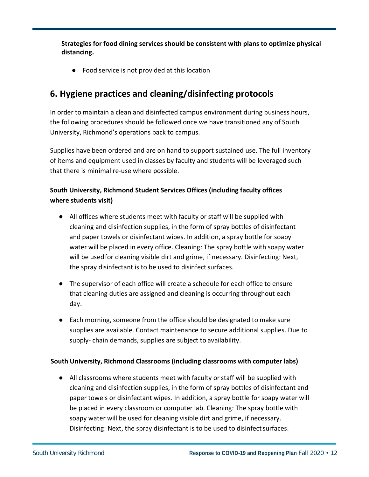**Strategies for food dining services should be consistent with plans to optimize physical distancing.**

● Food service is not provided at this location

# **6. Hygiene practices and cleaning/disinfecting protocols**

In order to maintain a clean and disinfected campus environment during business hours, the following procedures should be followed once we have transitioned any of South University, Richmond's operations back to campus.

Supplies have been ordered and are on hand to support sustained use. The full inventory of items and equipment used in classes by faculty and students will be leveraged such that there is minimal re-use where possible.

#### **South University, Richmond Student Services Offices (including faculty offices where students visit)**

- All offices where students meet with faculty or staff will be supplied with cleaning and disinfection supplies, in the form of spray bottles of disinfectant and paper towels or disinfectant wipes. In addition, a spray bottle for soapy water will be placed in every office. Cleaning: The spray bottle with soapy water will be usedfor cleaning visible dirt and grime, if necessary. Disinfecting: Next, the spray disinfectant is to be used to disinfect surfaces.
- The supervisor of each office will create a schedule for each office to ensure that cleaning duties are assigned and cleaning is occurring throughout each day.
- Each morning, someone from the office should be designated to make sure supplies are available. Contact maintenance to secure additional supplies. Due to supply- chain demands, supplies are subject to availability.

#### **South University, Richmond Classrooms (including classrooms with computer labs)**

● All classrooms where students meet with faculty or staff will be supplied with cleaning and disinfection supplies, in the form of spray bottles of disinfectant and paper towels or disinfectant wipes. In addition, a spray bottle for soapy water will be placed in every classroom or computer lab. Cleaning: The spray bottle with soapy water will be used for cleaning visible dirt and grime, if necessary. Disinfecting: Next, the spray disinfectant is to be used to disinfect surfaces.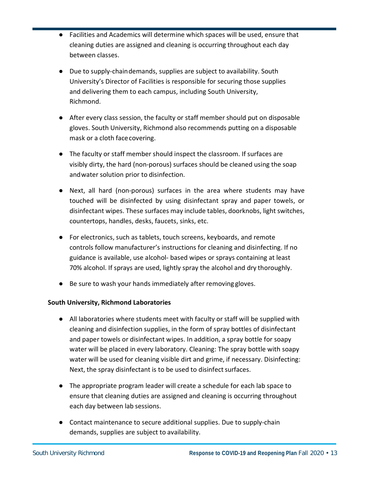- Facilities and Academics will determine which spaces will be used, ensure that cleaning duties are assigned and cleaning is occurring throughout each day between classes.
- Due to supply-chain demands, supplies are subject to availability. South University's Director of Facilities is responsible for securing those supplies and delivering them to each campus, including South University, Richmond.
- After every class session, the faculty or staff member should put on disposable gloves. South University, Richmond also recommends putting on a disposable mask or a cloth facecovering.
- The faculty or staff member should inspect the classroom. If surfaces are visibly dirty, the hard (non-porous) surfaces should be cleaned using the soap andwater solution prior to disinfection.
- Next, all hard (non-porous) surfaces in the area where students may have touched will be disinfected by using disinfectant spray and paper towels, or disinfectant wipes. These surfaces may include tables, doorknobs, light switches, countertops, handles, desks, faucets, sinks, etc.
- For electronics, such as tablets, touch screens, keyboards, and remote controls follow manufacturer's instructions for cleaning and disinfecting. If no guidance is available, use alcohol- based wipes or sprays containing at least 70% alcohol. If sprays are used, lightly spray the alcohol and dry thoroughly.
- Be sure to wash your hands immediately after removing gloves.

#### **South University, Richmond Laboratories**

- All laboratories where students meet with faculty or staff will be supplied with cleaning and disinfection supplies, in the form of spray bottles of disinfectant and paper towels or disinfectant wipes. In addition, a spray bottle for soapy water will be placed in every laboratory. Cleaning: The spray bottle with soapy water will be used for cleaning visible dirt and grime, if necessary. Disinfecting: Next, the spray disinfectant is to be used to disinfect surfaces.
- The appropriate program leader will create a schedule for each lab space to ensure that cleaning duties are assigned and cleaning is occurring throughout each day between lab sessions.
- Contact maintenance to secure additional supplies. Due to supply-chain demands, supplies are subject to availability.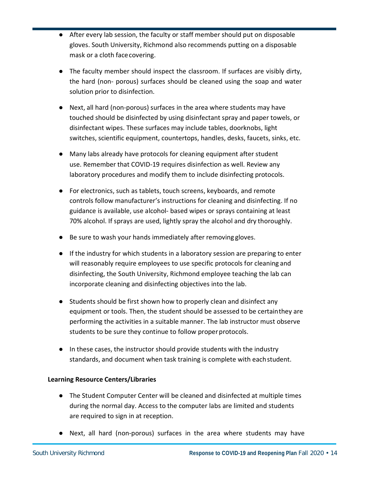- After every lab session, the faculty or staff member should put on disposable gloves. South University, Richmond also recommends putting on a disposable mask or a cloth facecovering.
- The faculty member should inspect the classroom. If surfaces are visibly dirty, the hard (non- porous) surfaces should be cleaned using the soap and water solution prior to disinfection.
- Next, all hard (non-porous) surfaces in the area where students may have touched should be disinfected by using disinfectant spray and paper towels, or disinfectant wipes. These surfaces may include tables, doorknobs, light switches, scientific equipment, countertops, handles, desks, faucets, sinks, etc.
- Many labs already have protocols for cleaning equipment after student use. Remember that COVID-19 requires disinfection as well. Review any laboratory procedures and modify them to include disinfecting protocols.
- For electronics, such as tablets, touch screens, keyboards, and remote controls follow manufacturer's instructions for cleaning and disinfecting. If no guidance is available, use alcohol- based wipes or sprays containing at least 70% alcohol. If sprays are used, lightly spray the alcohol and dry thoroughly.
- Be sure to wash your hands immediately after removing gloves.
- If the industry for which students in a laboratory session are preparing to enter will reasonably require employees to use specific protocols for cleaning and disinfecting, the South University, Richmond employee teaching the lab can incorporate cleaning and disinfecting objectives into the lab.
- Students should be first shown how to properly clean and disinfect any equipment or tools. Then, the student should be assessed to be certainthey are performing the activities in a suitable manner. The lab instructor must observe students to be sure they continue to follow properprotocols.
- In these cases, the instructor should provide students with the industry standards, and document when task training is complete with eachstudent.

#### **Learning Resource Centers/Libraries**

- The Student Computer Center will be cleaned and disinfected at multiple times during the normal day. Access to the computer labs are limited and students are required to sign in at reception.
- Next, all hard (non-porous) surfaces in the area where students may have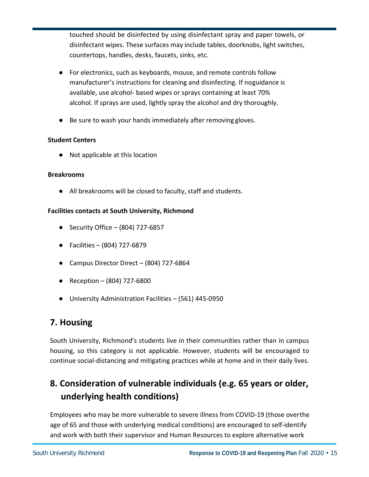touched should be disinfected by using disinfectant spray and paper towels, or disinfectant wipes. These surfaces may include tables, doorknobs, light switches, countertops, handles, desks, faucets, sinks, etc.

- For electronics, such as keyboards, mouse, and remote controls follow manufacturer's instructions for cleaning and disinfecting. If noguidance is available, use alcohol- based wipes or sprays containing at least 70% alcohol. If sprays are used, lightly spray the alcohol and dry thoroughly.
- Be sure to wash your hands immediately after removing gloves.

#### **Student Centers**

● Not applicable at this location

#### **Breakrooms**

● All breakrooms will be closed to faculty, staff and students.

#### **Facilities contacts at South University, Richmond**

- Security Office  $-$  (804) 727-6857
- Facilities (804) 727-6879
- Campus Director Direct (804) 727-6864
- Reception (804) 727-6800
- University Administration Facilities (561) 445-0950

# **7. Housing**

South University, Richmond's students live in their communities rather than in campus housing, so this category is not applicable. However, students will be encouraged to continue social-distancing and mitigating practices while at home and in their daily lives.

# **8. Consideration of vulnerable individuals (e.g. 65 years or older, underlying health conditions)**

Employees who may be more vulnerable to severe illness from COVID-19 (those overthe age of 65 and those with underlying medical conditions) are encouraged to self-identify and work with both their supervisor and Human Resources to explore alternative work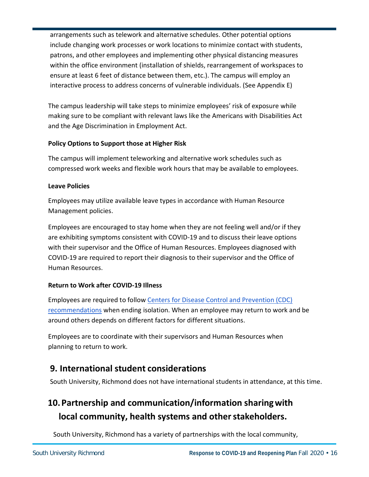arrangements such as telework and alternative schedules. Other potential options include changing work processes or work locations to minimize contact with students, patrons, and other employees and implementing other physical distancing measures within the office environment (installation of shields, rearrangement of workspaces to ensure at least 6 feet of distance between them, etc.). The campus will employ an interactive process to address concerns of vulnerable individuals. (See Appendix E)

The campus leadership will take steps to minimize employees' risk of exposure while making sure to be compliant with relevant laws like the Americans with Disabilities Act and the Age Discrimination in Employment Act.

#### **Policy Options to Support those at Higher Risk**

The campus will implement teleworking and alternative work schedules such as compressed work weeks and flexible work hours that may be available to employees.

#### **Leave Policies**

Employees may utilize available leave types in accordance with Human Resource Management policies.

Employees are encouraged to stay home when they are not feeling well and/or if they are exhibiting symptoms consistent with COVID-19 and to discuss their leave options with their supervisor and the Office of Human Resources. Employees diagnosed with COVID-19 are required to report their diagnosis to their supervisor and the Office of Human Resources.

#### **Return to Work after COVID-19 Illness**

Employees are required to follow Centers for Disease Control and Prevention (CDC) recommendations when ending isolation. When an employee may return to work and be around others depends on different factors for different situations.

Employees are to coordinate with their supervisors and Human Resources when planning to return to work.

# **9. International student considerations**

South University, Richmond does not have international students in attendance, at this time.

# **10.Partnership and communication/information sharingwith**  local community, health systems and other stakeholders.

South University, Richmond has a variety of partnerships with the local community,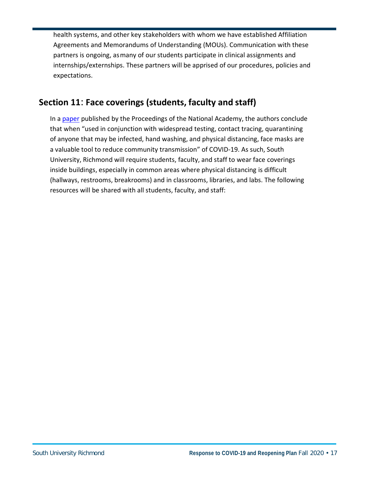health systems, and other key stakeholders with whom we have established Affiliation Agreements and Memorandums of Understanding (MOUs). Communication with these partners is ongoing, asmany of our students participate in clinical assignments and internships/externships. These partners will be apprised of our procedures, policies and expectations.

# **Section 11**: **Face coverings (students, faculty and staff)**

In a paper published by the Proceedings of the National Academy, the authors conclude that when "used in conjunction with widespread testing, contact tracing, quarantining of anyone that may be infected, hand washing, and physical distancing, face masks are a valuable tool to reduce community transmission" of COVID-19. As such, South University, Richmond will require students, faculty, and staff to wear face coverings inside buildings, especially in common areas where physical distancing is difficult (hallways, restrooms, breakrooms) and in classrooms, libraries, and labs. The following resources will be shared with all students, faculty, and staff: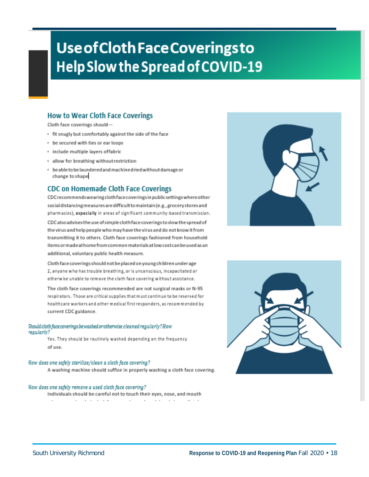# **Use of Cloth Face Coverings to** Help Slow the Spread of COVID-19

#### **How to Wear Cloth Face Coverings**

Cloth face coverings should-

- . fit snugly but comfortably against the side of the face
- be secured with ties or ear loops
- · include multiple layers offabric
- · allow for breathing without restriction
- · beable to be laundered and machine dried without damage or change to shape

#### **CDC on Homemade Cloth Face Coverings**

CDC recommends wearing cloth face coverings in public settings where other social distancing measures are difficult to maintain (e.g., grocery stores and pharmacies), especially in areas of significant community-based transmission.

CDC also advises the use of simple cloth face coverings to slow the spread of the virus and help people who may have the virus and do not know it from transmitting it to others. Cloth face coverings fashioned from household items or made at home from common materials at low cost can be used as an additional, voluntary public health measure.

Cloth face coverings should not be placed on young children under age 2, anyone who has trouble breathing, or is unconscious, incapacitated or otherwise unable to remove the cloth face covering without assistance.

The cloth face coverings recommended are not surgical masks or N-95 respirators. Those are critical supplies that must continue to be reserved for healthcare workers and other medical first responders, as recommended by current CDC guidance.

#### Should cloth face coverings be washed or otherwise cleaned regularly? How regulariy?

Yes. They should be routinely washed depending on the frequency of use.

#### How does one safely sterilize/clean a cloth face covering?

A washing machine should suffice in properly washing a cloth face covering.

#### How does one safely remove a used cloth face covering?

Individuals should be careful not to touch their eyes, nose, and mouth



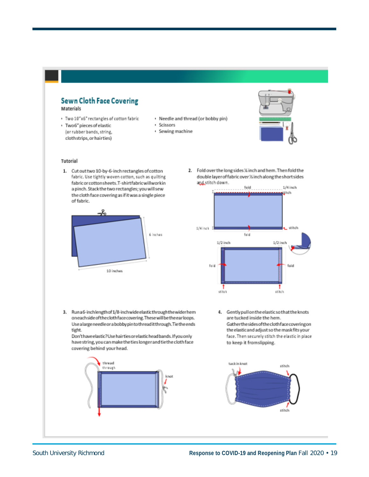#### **Sewn Cloth Face Covering** Materials

- \* Two 10"x6" rectangles of cotton fabric
- · Two 6" pieces of elastic (or rubber bands, string,
- clothstrips, or hairties)

#### · Needle and thread (or bobby pin)

- · Scissors
- · Sewing machine



- Tutorial
- 1. Cut out two 10-by-6-inch rectangles of cotton fabric. Use tightly woven cotton, such as quilting fabric or cotton sheets. T-shirtfabric will work in a pinch. Stack the two rectangles; you will sew the cloth face covering as if it was a single piece of fabric.



2. Fold over the long sides % inch and hem. Then fold the double layer of fabric over 1/4 inch along the short sides and stitch down.



3. Runa6-inchlengthof1/8-inchwideelasticthroughthewiderhem oneachside of the cloth face covering. These will be the earloops. Use a large needle or a bobby pinto thread it through. Tie the ends tight.

Don't have elastic? Use hair ties or elastic head bands. If you only have string, you can make the ties longer and tie the cloth face covering behind your head.



4. Gently pull on the elastic so that the knots are tucked inside the hem. Gatherthesidesoftheclothfacecoveringon the elastic and adjust so the mask fits your face. Then securely stitch the elastic in place to keep it fromslipping.

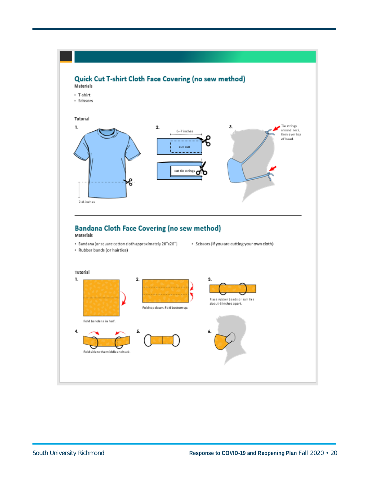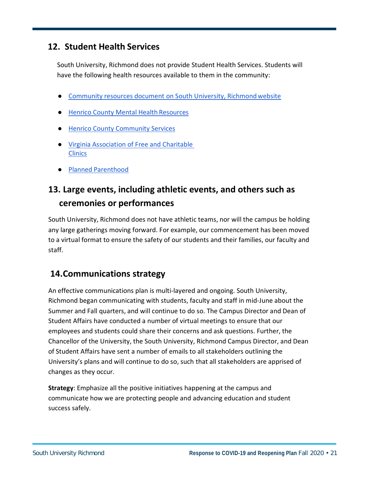# **12. Student Health Services**

South University, Richmond does not provide Student Health Services. Students will have the following health resources available to them in the community:

- **Community resources document on South University, Richmond website**
- Henrico County Mental Health Resources
- Henrico County Community Services
- Virginia Association of Free and Charitable **Clinics**
- Planned Parenthood

# **13. Large events, including athletic events, and others such as ceremonies or performances**

South University, Richmond does not have athletic teams, nor will the campus be holding any large gatherings moving forward. For example, our commencement has been moved to a virtual format to ensure the safety of our students and their families, our faculty and staff.

# **14.Communications strategy**

An effective communications plan is multi-layered and ongoing. South University, Richmond began communicating with students, faculty and staff in mid-June about the Summer and Fall quarters, and will continue to do so. The Campus Director and Dean of Student Affairs have conducted a number of virtual meetings to ensure that our employees and students could share their concerns and ask questions. Further, the Chancellor of the University, the South University, Richmond Campus Director, and Dean of Student Affairs have sent a number of emails to all stakeholders outlining the University's plans and will continue to do so, such that all stakeholders are apprised of changes as they occur.

**Strategy**: Emphasize all the positive initiatives happening at the campus and communicate how we are protecting people and advancing education and student success safely.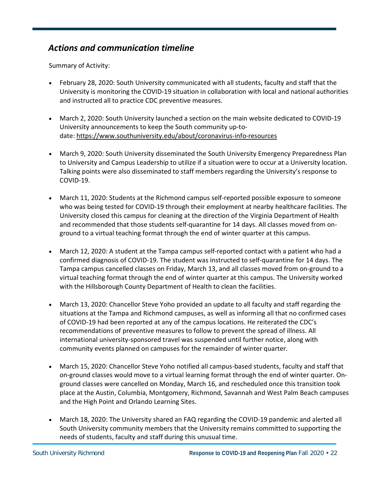# *Actions and communication timeline*

Summary of Activity:

- February 28, 2020: South University communicated with all students, faculty and staff that the University is monitoring the COVID-19 situation in collaboration with local and national authorities and instructed all to practice CDC preventive measures.
- March 2, 2020: South University launched a section on the main website dedicated to COVID-19 University announcements to keep the South community up-todate: https://www.southuniversity.edu/about/coronavirus-info-resources
- March 9, 2020: South University disseminated the South University Emergency Preparedness Plan to University and Campus Leadership to utilize if a situation were to occur at a University location. Talking points were also disseminated to staff members regarding the University's response to COVID-19.
- March 11, 2020: Students at the Richmond campus self-reported possible exposure to someone who was being tested for COVID-19 through their employment at nearby healthcare facilities. The University closed this campus for cleaning at the direction of the Virginia Department of Health and recommended that those students self-quarantine for 14 days. All classes moved from onground to a virtual teaching format through the end of winter quarter at this campus.
- March 12, 2020: A student at the Tampa campus self-reported contact with a patient who had a confirmed diagnosis of COVID-19. The student was instructed to self-quarantine for 14 days. The Tampa campus cancelled classes on Friday, March 13, and all classes moved from on-ground to a virtual teaching format through the end of winter quarter at this campus. The University worked with the Hillsborough County Department of Health to clean the facilities.
- March 13, 2020: Chancellor Steve Yoho provided an update to all faculty and staff regarding the situations at the Tampa and Richmond campuses, as well as informing all that no confirmed cases of COVID-19 had been reported at any of the campus locations. He reiterated the CDC's recommendations of preventive measures to follow to prevent the spread of illness. All international university-sponsored travel was suspended until further notice, along with community events planned on campuses for the remainder of winter quarter.
- March 15, 2020: Chancellor Steve Yoho notified all campus-based students, faculty and staff that on-ground classes would move to a virtual learning format through the end of winter quarter. Onground classes were cancelled on Monday, March 16, and rescheduled once this transition took place at the Austin, Columbia, Montgomery, Richmond, Savannah and West Palm Beach campuses and the High Point and Orlando Learning Sites.
- March 18, 2020: The University shared an FAQ regarding the COVID-19 pandemic and alerted all South University community members that the University remains committed to supporting the needs of students, faculty and staff during this unusual time.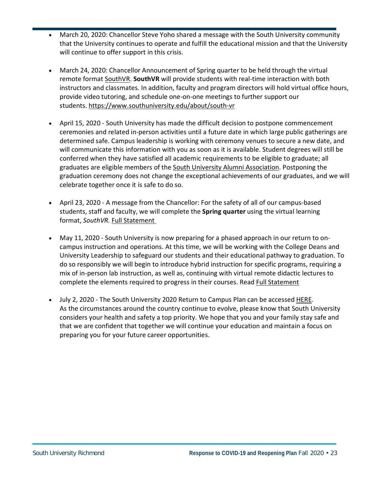- March 20, 2020: Chancellor Steve Yoho shared a message with the South University community that the University continues to operate and fulfill the educational mission and that the University will continue to offer support in this crisis.
- March 24, 2020: Chancellor Announcement of Spring quarter to be held through the virtual remote format SouthVR. **SouthVR** will provide students with real-time interaction with both instructors and classmates. In addition, faculty and program directors will hold virtual office hours, provide video tutoring, and schedule one-on-one meetings to further support our students. https://www.southuniversity.edu/about/south-vr
- April 15, 2020 South University has made the difficult decision to postpone commencement ceremonies and related in-person activities until a future date in which large public gatherings are determined safe. Campus leadership is working with ceremony venues to secure a new date, and will communicate this information with you as soon as it is available. Student degrees will still be conferred when they have satisfied all academic requirements to be eligible to graduate; all graduates are eligible members of the South University Alumni Association. Postponing the graduation ceremony does not change the exceptional achievements of our graduates, and we will celebrate together once it is safe to do so.
- April 23, 2020 A message from the Chancellor: For the safety of all of our campus-based students, staff and faculty, we will complete the **Spring quarter** using the virtual learning format, *SouthVR.* Full Statement
- May 11, 2020 South University is now preparing for a phased approach in our return to oncampus instruction and operations. At this time, we will be working with the College Deans and University Leadership to safeguard our students and their educational pathway to graduation. To do so responsibly we will begin to introduce hybrid instruction for specific programs, requiring a mix of in-person lab instruction, as well as, continuing with virtual remote didactic lectures to complete the elements required to progress in their courses. Read Full Statement
- July 2, 2020 The South University 2020 Return to Campus Plan can be accessed HERE. As the circumstances around the country continue to evolve, please know that South University considers your health and safety a top priority. We hope that you and your family stay safe and that we are confident that together we will continue your education and maintain a focus on preparing you for your future career opportunities.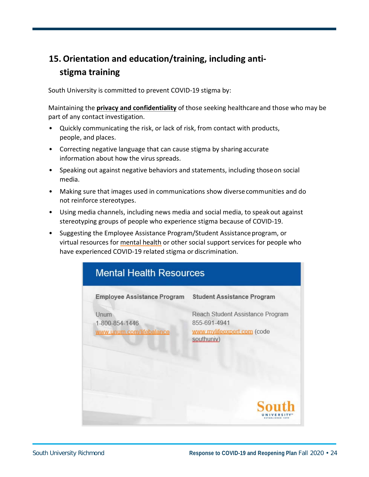# **15. Orientation and education/training, including antistigma training**

South University is committed to prevent COVID-19 stigma by:

Maintaining the **privacy and confidentiality** of those seeking healthcareand those who may be part of any contact investigation.

- Quickly communicating the risk, or lack of risk, from contact with products, people, and places.
- Correcting negative language that can cause stigma by sharing accurate information about how the virus spreads.
- Speaking out against negative behaviors and statements, including thoseon social media.
- Making sure that images used in communications show diversecommunities and do not reinforce stereotypes.
- Using media channels, including news media and social media, to speakout against stereotyping groups of people who experience stigma because of COVID-19.
- Suggesting the Employee Assistance Program/Student Assistance program, or virtual resources for mental health or other social support services for people who have experienced COVID-19 related stigma or discrimination.

| <b>Mental Health Resources</b>                     |                                                                                               |
|----------------------------------------------------|-----------------------------------------------------------------------------------------------|
| <b>Employee Assistance Program</b>                 | <b>Student Assistance Program</b>                                                             |
| Unum<br>1-800-854-1446<br>www.unum.com/lifebalance | Reach Student Assistance Program<br>855-691-4941<br>www.mylifeexpert.com (code<br>southuniv.) |
|                                                    |                                                                                               |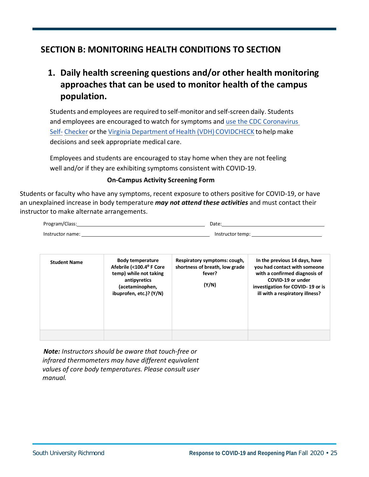# **SECTION B: MONITORING HEALTH CONDITIONS TO SECTION**

# **1. Daily health screening questions and/or other health monitoring approaches that can be used to monitor health of the campus population.**

Students and employees are required to self-monitor and self-screen daily. Students and employees are encouraged to watch for symptoms and use the CDC Coronavirus Self- Checker orthe Virginia Department of Health (VDH) COVIDCHECK to help make decisions and seek appropriate medical care.

Employees and students are encouraged to stay home when they are not feeling well and/or if they are exhibiting symptoms consistent with COVID-19.

#### **On-Campus Activity Screening Form**

Students or faculty who have any symptoms, recent exposure to others positive for COVID-19, or have an unexplained increase in body temperature *may not attend these activities* and must contact their instructor to make alternate arrangements.

| Program/Class:   | Date.            |
|------------------|------------------|
| Instructor name: | Instructor temp: |

| <b>Student Name</b> | <b>Body temperature</b><br>Afebrile (<100.4° F Core<br>temp) while not taking<br>antipyretics<br>(acetaminophen,<br>ibuprofen, etc.)? (Y/N) | Respiratory symptoms: cough,<br>shortness of breath, low grade<br>fever?<br>(Y/N) | In the previous 14 days, have<br>you had contact with someone<br>with a confirmed diagnosis of<br>COVID-19 or under<br>investigation for COVID-19 or is<br>ill with a respiratory illness? |
|---------------------|---------------------------------------------------------------------------------------------------------------------------------------------|-----------------------------------------------------------------------------------|--------------------------------------------------------------------------------------------------------------------------------------------------------------------------------------------|
|                     |                                                                                                                                             |                                                                                   |                                                                                                                                                                                            |

*Note: Instructors should be aware that touch-free or infrared thermometers may have different equivalent values of core body temperatures. Please consult user manual.*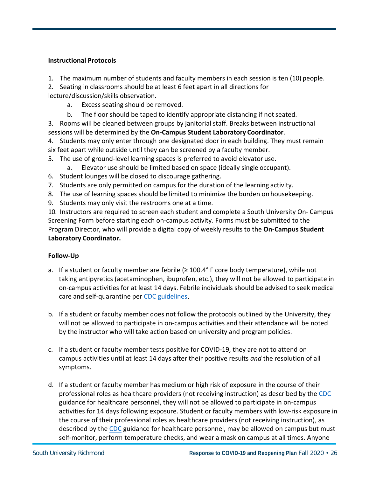#### **Instructional Protocols**

- 1. The maximum number of students and faculty members in each session is ten (10) people.
- 2. Seating in classrooms should be at least 6 feet apart in all directions for lecture/discussion/skills observation.
	- a. Excess seating should be removed.
	- b. The floor should be taped to identify appropriate distancing if not seated.
- 3. Rooms will be cleaned between groups by janitorial staff. Breaks between instructional sessions will be determined by the **On-Campus Student Laboratory Coordinator**.
- 4. Students may only enter through one designated door in each building. They must remain six feet apart while outside until they can be screened by a faculty member.
- 5. The use of ground-level learning spaces is preferred to avoid elevator use.
	- a. Elevator use should be limited based on space (ideally single occupant).
- 6. Student lounges will be closed to discourage gathering.
- 7. Students are only permitted on campus for the duration of the learning activity.
- 8. The use of learning spaces should be limited to minimize the burden on housekeeping.
- 9. Students may only visit the restrooms one at a time.

10. Instructors are required to screen each student and complete a South University On- Campus Screening Form before starting each on-campus activity. Forms must be submitted to the Program Director, who will provide a digital copy of weekly results to the **On-Campus Student Laboratory Coordinator.**

#### **Follow-Up**

- a. If a student or faculty member are febrile ( $\geq 100.4^{\circ}$  F core body temperature), while not taking antipyretics (acetaminophen, ibuprofen, etc.), they will not be allowed to participate in on-campus activities for at least 14 days. Febrile individuals should be advised to seek medical care and self-quarantine per CDC guidelines.
- b. If a student or faculty member does not follow the protocols outlined by the University, they will not be allowed to participate in on-campus activities and their attendance will be noted by the instructor who will take action based on university and program policies.
- c. If a student or faculty member tests positive for COVID-19, they are not to attend on campus activities until at least 14 days after their positive results *and* the resolution of all symptoms.
- d. If a student or faculty member has medium or high risk of exposure in the course of their professional roles as healthcare providers (not receiving instruction) as described by the CDC guidance for healthcare personnel, they will not be allowed to participate in on-campus activities for 14 days following exposure. Student or faculty members with low-risk exposure in the course of their professional roles as healthcare providers (not receiving instruction), as described by the CDC guidance for healthcare personnel, may be allowed on campus but must self-monitor, perform temperature checks, and wear a mask on campus at all times. Anyone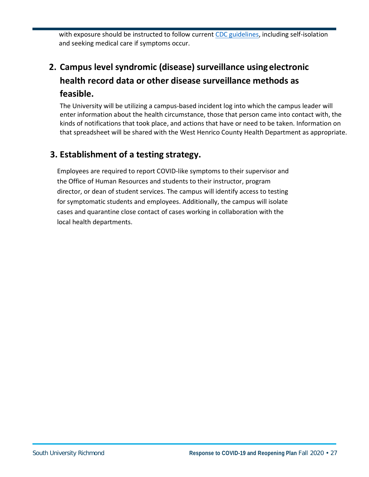with exposure should be instructed to follow current CDC guidelines, including self-isolation and seeking medical care if symptoms occur.

# **2. Campus level syndromic (disease) surveillance usingelectronic health record data or other disease surveillance methods as feasible.**

The University will be utilizing a campus-based incident log into which the campus leader will enter information about the health circumstance, those that person came into contact with, the kinds of notifications that took place, and actions that have or need to be taken. Information on that spreadsheet will be shared with the West Henrico County Health Department as appropriate.

# **3. Establishment of a testing strategy.**

Employees are required to report COVID-like symptoms to their supervisor and the Office of Human Resources and students to their instructor, program director, or dean of student services. The campus will identify access to testing for symptomatic students and employees. Additionally, the campus will isolate cases and quarantine close contact of cases working in collaboration with the local health departments.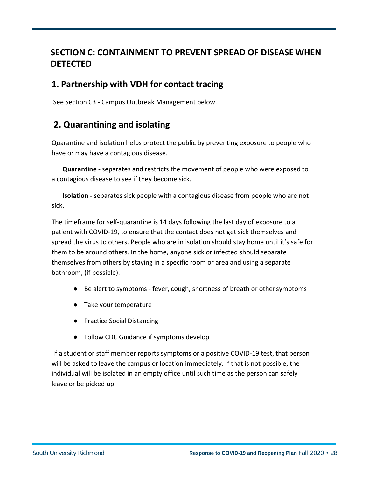# **SECTION C: CONTAINMENT TO PREVENT SPREAD OF DISEASE WHEN DETECTED**

## **1. Partnership with VDH for contact tracing**

See Section C3 - Campus Outbreak Management below.

# **2. Quarantining and isolating**

Quarantine and isolation helps protect the public by preventing exposure to people who have or may have a contagious disease.

**Quarantine -** separates and restricts the movement of people who were exposed to a contagious disease to see if they become sick.

**Isolation -** separates sick people with a contagious disease from people who are not sick.

The timeframe for self-quarantine is 14 days following the last day of exposure to a patient with COVID-19, to ensure that the contact does not get sick themselves and spread the virus to others. People who are in isolation should stay home until it's safe for them to be around others. In the home, anyone sick or infected should separate themselves from others by staying in a specific room or area and using a separate bathroom, (if possible).

- Be alert to symptoms fever, cough, shortness of breath or othersymptoms
- Take your temperature
- Practice Social Distancing
- Follow CDC Guidance if symptoms develop

If a student or staff member reports symptoms or a positive COVID-19 test, that person will be asked to leave the campus or location immediately. If that is not possible, the individual will be isolated in an empty office until such time as the person can safely leave or be picked up.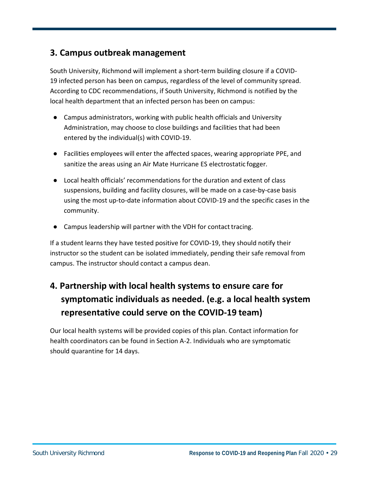## **3. Campus outbreak management**

South University, Richmond will implement a short-term building closure if a COVID-19 infected person has been on campus, regardless of the level of community spread. According to CDC recommendations, if South University, Richmond is notified by the local health department that an infected person has been on campus:

- Campus administrators, working with public health officials and University Administration, may choose to close buildings and facilities that had been entered by the individual(s) with COVID-19.
- Facilities employees will enter the affected spaces, wearing appropriate PPE, and sanitize the areas using an Air Mate Hurricane ES electrostatic fogger.
- Local health officials' recommendations for the duration and extent of class suspensions, building and facility closures, will be made on a case-by-case basis using the most up-to-date information about COVID-19 and the specific cases in the community.
- Campus leadership will partner with the VDH for contact tracing.

If a student learns they have tested positive for COVID-19, they should notify their instructor so the student can be isolated immediately, pending their safe removal from campus. The instructor should contact a campus dean.

# **4. Partnership with local health systems to ensure care for symptomatic individuals as needed. (e.g. a local health system representative could serve on the COVID-19 team)**

Our local health systems will be provided copies of this plan. Contact information for health coordinators can be found in Section A-2. Individuals who are symptomatic should quarantine for 14 days.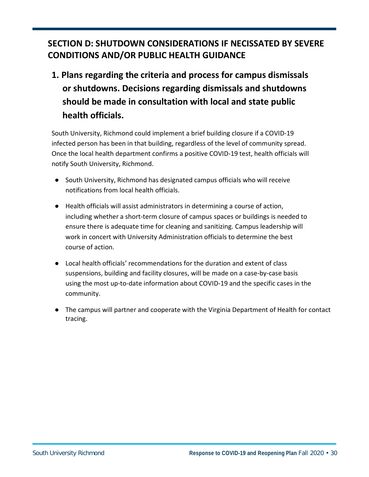# **SECTION D: SHUTDOWN CONSIDERATIONS IF NECISSATED BY SEVERE CONDITIONS AND/OR PUBLIC HEALTH GUIDANCE**

# **1. Plans regarding the criteria and process for campus dismissals or shutdowns. Decisions regarding dismissals and shutdowns should be made in consultation with local and state public health officials.**

South University, Richmond could implement a brief building closure if a COVID-19 infected person has been in that building, regardless of the level of community spread. Once the local health department confirms a positive COVID-19 test, health officials will notify South University, Richmond.

- South University, Richmond has designated campus officials who will receive notifications from local health officials.
- Health officials will assist administrators in determining a course of action, including whether a short-term closure of campus spaces or buildings is needed to ensure there is adequate time for cleaning and sanitizing. Campus leadership will work in concert with University Administration officials to determine the best course of action.
- Local health officials' recommendations for the duration and extent of class suspensions, building and facility closures, will be made on a case-by-case basis using the most up-to-date information about COVID-19 and the specific cases in the community.
- The campus will partner and cooperate with the Virginia Department of Health for contact tracing.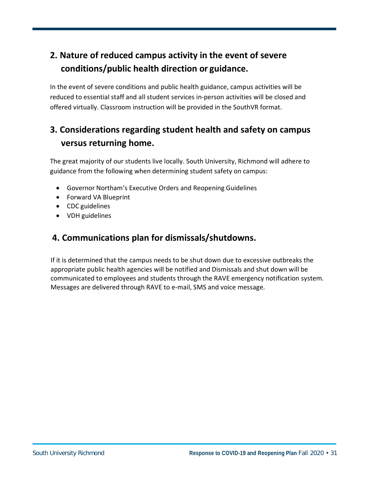# **2. Nature of reduced campus activity in the event of severe conditions/public health direction or guidance.**

In the event of severe conditions and public health guidance, campus activities will be reduced to essential staff and all student services in-person activities will be closed and offered virtually. Classroom instruction will be provided in the SouthVR format.

# **3. Considerations regarding student health and safety on campus versus returning home.**

The great majority of our students live locally. South University, Richmond will adhere to guidance from the following when determining student safety on campus:

- Governor Northam's Executive Orders and Reopening Guidelines
- Forward VA Blueprint
- CDC guidelines
- VDH guidelines

# **4. Communications plan for dismissals/shutdowns.**

If it is determined that the campus needs to be shut down due to excessive outbreaks the appropriate public health agencies will be notified and Dismissals and shut down will be communicated to employees and students through the RAVE emergency notification system. Messages are delivered through RAVE to e-mail, SMS and voice message.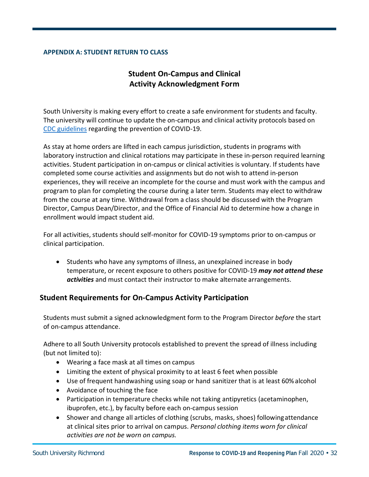#### **APPENDIX A: STUDENT RETURN TO CLASS**

### **Student On-Campus and Clinical Activity Acknowledgment Form**

South University is making every effort to create a safe environment for students and faculty. The university will continue to update the on-campus and clinical activity protocols based on CDC guidelines regarding the prevention of COVID-19.

As stay at home orders are lifted in each campus jurisdiction, students in programs with laboratory instruction and clinical rotations may participate in these in-person required learning activities. Student participation in on-campus or clinical activities is voluntary. If students have completed some course activities and assignments but do not wish to attend in-person experiences, they will receive an incomplete for the course and must work with the campus and program to plan for completing the course during a later term. Students may elect to withdraw from the course at any time. Withdrawal from a class should be discussed with the Program Director, Campus Dean/Director, and the Office of Financial Aid to determine how a change in enrollment would impact student aid.

For all activities, students should self-monitor for COVID-19 symptoms prior to on-campus or clinical participation.

• Students who have any symptoms of illness, an unexplained increase in body temperature, or recent exposure to others positive for COVID-19 *may not attend these activities* and must contact their instructor to make alternate arrangements.

#### **Student Requirements for On-Campus Activity Participation**

Students must submit a signed acknowledgment form to the Program Director *before* the start of on-campus attendance.

Adhere to all South University protocols established to prevent the spread of illness including (but not limited to):

- Wearing a face mask at all times on campus
- Limiting the extent of physical proximity to at least 6 feet when possible
- Use of frequent handwashing using soap or hand sanitizer that is at least 60%alcohol
- Avoidance of touching the face
- Participation in temperature checks while not taking antipyretics (acetaminophen, ibuprofen, etc.), by faculty before each on-campus session
- Shower and change all articles of clothing (scrubs, masks, shoes) followingattendance at clinical sites prior to arrival on campus. *Personal clothing items worn for clinical activities are not be worn on campus.*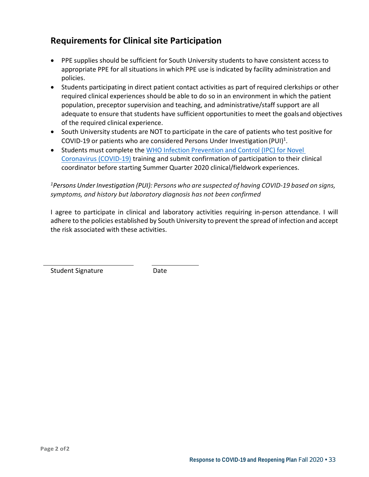# **Requirements for Clinical site Participation**

- PPE supplies should be sufficient for South University students to have consistent access to appropriate PPE for all situations in which PPE use is indicated by facility administration and policies.
- Students participating in direct patient contact activities as part of required clerkships or other required clinical experiences should be able to do so in an environment in which the patient population, preceptor supervision and teaching, and administrative/staff support are all adequate to ensure that students have sufficient opportunities to meet the goalsand objectives of the required clinical experience.
- South University students are NOT to participate in the care of patients who test positive for COVID-19 or patients who are considered Persons Under Investigation (PUI)<sup>1</sup>.
- Students must complete the WHO Infection Prevention and Control (IPC) for Novel Coronavirus (COVID-19) training and submit confirmation of participation to their clinical coordinator before starting Summer Quarter 2020 clinical/fieldwork experiences.

*1 Persons Under Investigation (PUI): Persons who are suspected of having COVID-19 based on signs, symptoms, and history but laboratory diagnosis has not been confirmed*

I agree to participate in clinical and laboratory activities requiring in-person attendance. I will adhere to the policies established by South University to prevent the spread of infection and accept the risk associated with these activities.

Student Signature **Date**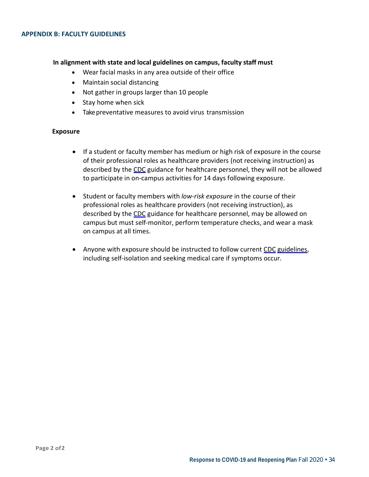#### **In alignment with state and local guidelines on campus, faculty staff must**

- Wear facial masks in any area outside of their office
- Maintain social distancing
- Not gather in groups larger than 10 people
- Stay home when sick
- Take preventative measures to avoid virus transmission

#### **Exposure**

- If a student or faculty member has medium or high risk of exposure in the course of their professional roles as healthcare providers (not receiving instruction) as described by the CDC guidance for healthcare personnel, they will not be allowed to participate in on-campus activities for 14 days following exposure.
- Student or faculty members with *low-risk exposure* in the course of their professional roles as healthcare providers (not receiving instruction), as described by the CDC guidance for healthcare personnel, may be allowed on campus but must self-monitor, perform temperature checks, and wear a mask on campus at all times.
- Anyone with exposure should be instructed to follow current CDC guidelines, including self-isolation and seeking medical care if symptoms occur.